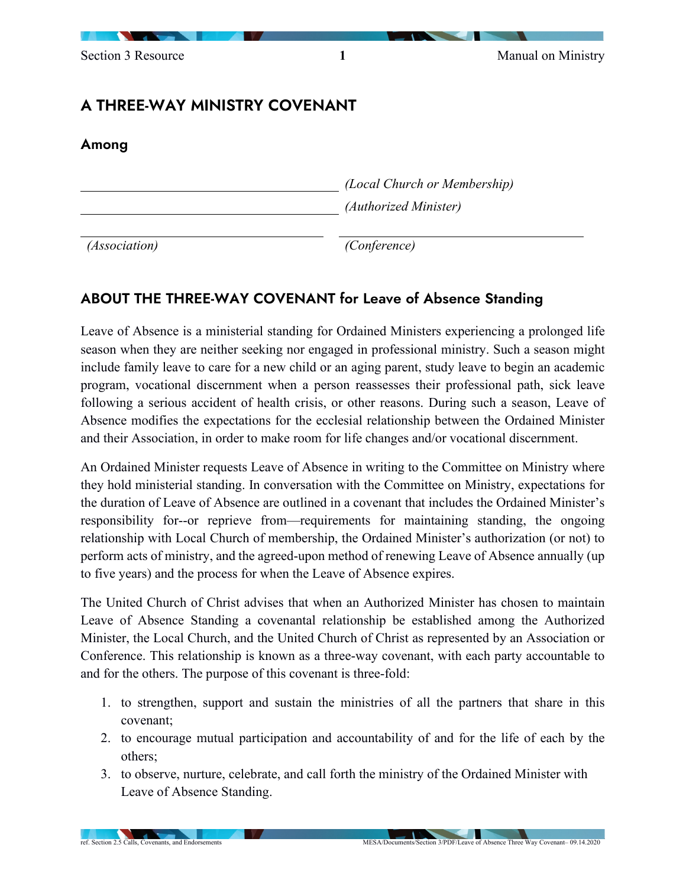# A THREE-WAY MINISTRY COVENANT

Among

*(Local Church or Membership) (Authorized Minister)*

*(Association) (Conference)*

## ABOUT THE THREE-WAY COVENANT for Leave of Absence Standing

Leave of Absence is a ministerial standing for Ordained Ministers experiencing a prolonged life season when they are neither seeking nor engaged in professional ministry. Such a season might include family leave to care for a new child or an aging parent, study leave to begin an academic program, vocational discernment when a person reassesses their professional path, sick leave following a serious accident of health crisis, or other reasons. During such a season, Leave of Absence modifies the expectations for the ecclesial relationship between the Ordained Minister and their Association, in order to make room for life changes and/or vocational discernment.

An Ordained Minister requests Leave of Absence in writing to the Committee on Ministry where they hold ministerial standing. In conversation with the Committee on Ministry, expectations for the duration of Leave of Absence are outlined in a covenant that includes the Ordained Minister's responsibility for--or reprieve from—requirements for maintaining standing, the ongoing relationship with Local Church of membership, the Ordained Minister's authorization (or not) to perform acts of ministry, and the agreed-upon method of renewing Leave of Absence annually (up to five years) and the process for when the Leave of Absence expires.

The United Church of Christ advises that when an Authorized Minister has chosen to maintain Leave of Absence Standing a covenantal relationship be established among the Authorized Minister, the Local Church, and the United Church of Christ as represented by an Association or Conference. This relationship is known as a three-way covenant, with each party accountable to and for the others. The purpose of this covenant is three-fold:

- 1. to strengthen, support and sustain the ministries of all the partners that share in this covenant;
- 2. to encourage mutual participation and accountability of and for the life of each by the others;
- 3. to observe, nurture, celebrate, and call forth the ministry of the Ordained Minister with Leave of Absence Standing.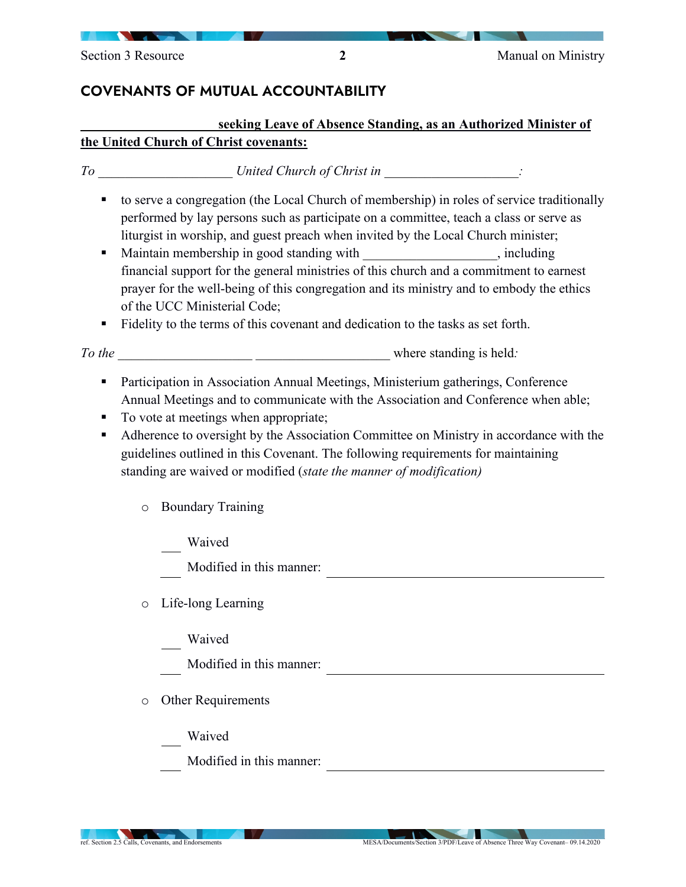# COVENANTS OF MUTUAL ACCOUNTABILITY

## **\_\_\_\_\_\_\_\_\_\_\_\_\_\_\_\_\_\_\_\_ seeking Leave of Absence Standing, as an Authorized Minister of the United Church of Christ covenants:**

| To | United Church of Christ in |  |  |
|----|----------------------------|--|--|
|----|----------------------------|--|--|

- to serve a congregation (the Local Church of membership) in roles of service traditionally performed by lay persons such as participate on a committee, teach a class or serve as liturgist in worship, and guest preach when invited by the Local Church minister;
- Maintain membership in good standing with the state of standing standing with state of  $\mathbb{R}^n$ , including financial support for the general ministries of this church and a commitment to earnest prayer for the well-being of this congregation and its ministry and to embody the ethics of the UCC Ministerial Code;
- Fidelity to the terms of this covenant and dedication to the tasks as set forth.

*To the* \_\_\_\_\_\_\_\_\_\_\_\_\_\_\_\_\_\_\_\_ \_\_\_\_\_\_\_\_\_\_\_\_\_\_\_\_\_\_\_\_ where standing is held*:*

- **Participation in Association Annual Meetings, Ministerium gatherings, Conference** Annual Meetings and to communicate with the Association and Conference when able;
- To vote at meetings when appropriate;
- Adherence to oversight by the Association Committee on Ministry in accordance with the guidelines outlined in this Covenant. The following requirements for maintaining standing are waived or modified (*state the manner of modification)*
	- o Boundary Training
		- Waived
		- Modified in this manner:
	- o Life-long Learning
		- Waived
		- Modified in this manner:
	- o Other Requirements
		- Waived
		- Modified in this manner: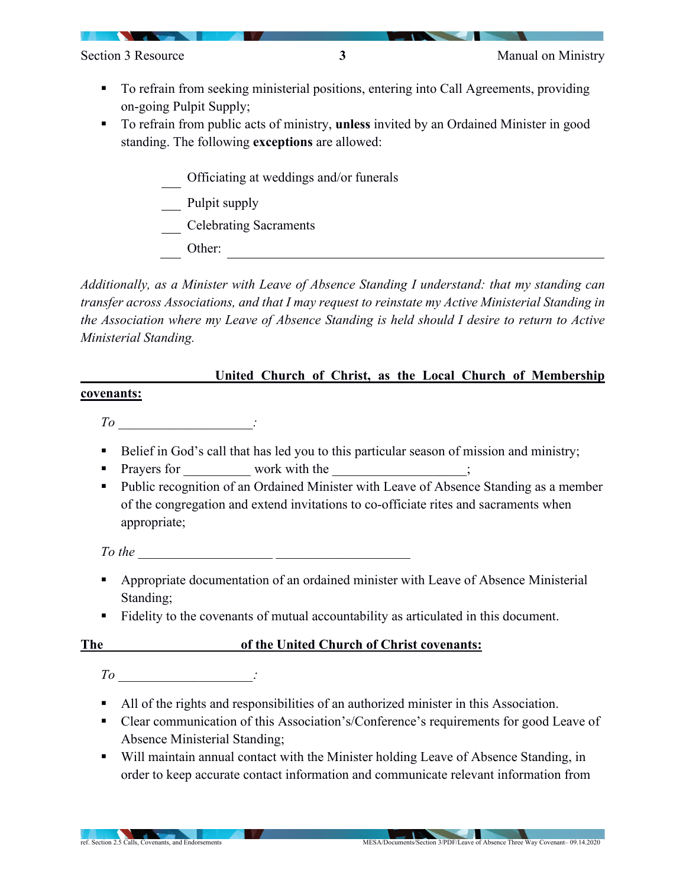- To refrain from seeking ministerial positions, entering into Call Agreements, providing on-going Pulpit Supply;
- To refrain from public acts of ministry, **unless** invited by an Ordained Minister in good standing. The following **exceptions** are allowed:
	- Officiating at weddings and/or funerals
	- **Pulpit supply**
	- Celebrating Sacraments
	- Other:

*Additionally, as a Minister with Leave of Absence Standing I understand: that my standing can transfer across Associations, and that I may request to reinstate my Active Ministerial Standing in the Association where my Leave of Absence Standing is held should I desire to return to Active Ministerial Standing.*

### United Church of Christ, as the Local Church of Membership

#### **covenants:**

*To* \_\_\_\_\_\_\_\_\_\_\_\_\_\_\_\_\_\_\_\_*:*

- Belief in God's call that has led you to this particular season of mission and ministry;
- Prayers for work with the  $\cdot$ ;
- Public recognition of an Ordained Minister with Leave of Absence Standing as a member of the congregation and extend invitations to co-officiate rites and sacraments when appropriate;

*To the* **with the set of the set of the set of the set of the set of the set of the set of the set of the set of the set of the set of the set of the set of the set of the set of the set of the set of the set of the set o** 

- Appropriate documentation of an ordained minister with Leave of Absence Ministerial Standing;
- Fidelity to the covenants of mutual accountability as articulated in this document.

### **The** \_\_\_\_\_\_\_\_\_\_\_\_\_\_\_\_\_\_\_\_**of the United Church of Christ covenants:**

- *To* \_\_\_\_\_\_\_\_\_\_\_\_\_\_\_\_\_\_\_\_\_:
- All of the rights and responsibilities of an authorized minister in this Association.
- Clear communication of this Association's/Conference's requirements for good Leave of Absence Ministerial Standing;
- Will maintain annual contact with the Minister holding Leave of Absence Standing, in order to keep accurate contact information and communicate relevant information from